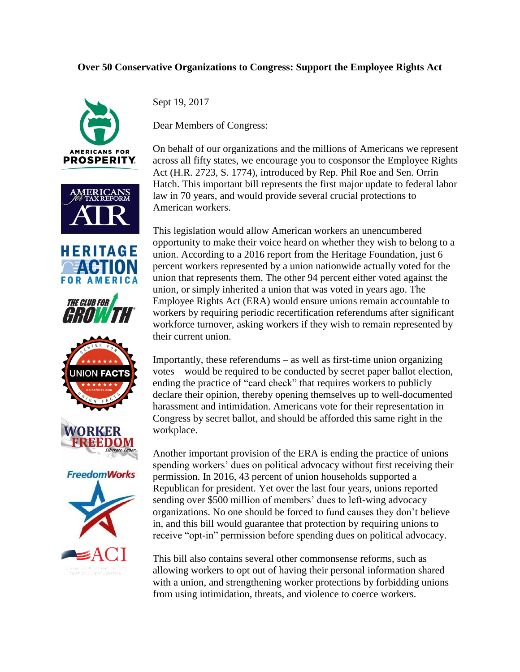## **Over 50 Conservative Organizations to Congress: Support the Employee Rights Act**













Sept 19, 2017

Dear Members of Congress:

On behalf of our organizations and the millions of Americans we represent across all fifty states, we encourage you to cosponsor the Employee Rights Act (H.R. 2723, S. 1774), introduced by Rep. Phil Roe and Sen. Orrin Hatch. This important bill represents the first major update to federal labor law in 70 years, and would provide several crucial protections to American workers.

This legislation would allow American workers an unencumbered opportunity to make their voice heard on whether they wish to belong to a union. According to a 2016 report from the Heritage Foundation, just 6 percent workers represented by a union nationwide actually voted for the union that represents them. The other 94 percent either voted against the union, or simply inherited a union that was voted in years ago. The Employee Rights Act (ERA) would ensure unions remain accountable to workers by requiring periodic recertification referendums after significant workforce turnover, asking workers if they wish to remain represented by their current union.

Importantly, these referendums – as well as first-time union organizing votes – would be required to be conducted by secret paper ballot election, ending the practice of "card check" that requires workers to publicly declare their opinion, thereby opening themselves up to well-documented harassment and intimidation. Americans vote for their representation in Congress by secret ballot, and should be afforded this same right in the workplace.

Another important provision of the ERA is ending the practice of unions spending workers' dues on political advocacy without first receiving their permission. In 2016, 43 percent of union households supported a Republican for president. Yet over the last four years, unions reported sending over \$500 million of members' dues to left-wing advocacy organizations. No one should be forced to fund causes they don't believe in, and this bill would guarantee that protection by requiring unions to receive "opt-in" permission before spending dues on political advocacy.

This bill also contains several other commonsense reforms, such as allowing workers to opt out of having their personal information shared with a union, and strengthening worker protections by forbidding unions from using intimidation, threats, and violence to coerce workers.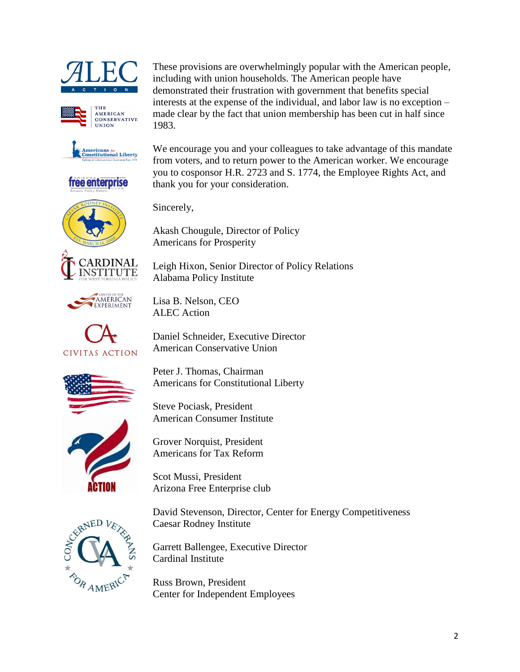





free enterprise

These provisions are overwhelmingly popular with the American people, including with union households. The American people have demonstrated their frustration with government that benefits special interests at the expense of the individual, and labor law is no exception – made clear by the fact that union membership has been cut in half since 1983.

We encourage you and your colleagues to take advantage of this mandate from voters, and to return power to the American worker. We encourage you to cosponsor H.R. 2723 and S. 1774, the Employee Rights Act, and thank you for your consideration.

Sincerely,

Akash Chougule, Director of Policy Americans for Prosperity

Leigh Hixon, Senior Director of Policy Relations Alabama Policy Institute



Lisa B. Nelson, CEO ALEC Action

Daniel Schneider, Executive Director American Conservative Union



Peter J. Thomas, Chairman Americans for Constitutional Liberty

Steve Pociask, President American Consumer Institute

Grover Norquist, President Americans for Tax Reform

Scot Mussi, President Arizona Free Enterprise club

David Stevenson, Director, Center for Energy Competitiveness Caesar Rodney Institute

Garrett Ballengee, Executive Director Cardinal Institute

Russ Brown, President Center for Independent Employees





RDINAL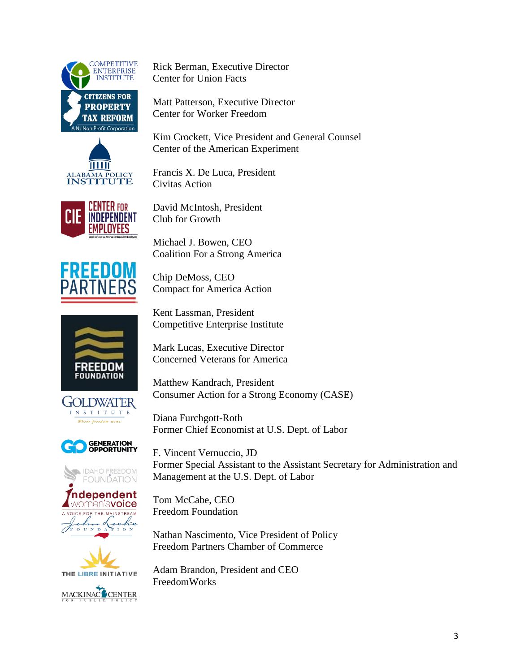



Rick Berman, Executive Director Center for Union Facts

Matt Patterson, Executive Director Center for Worker Freedom

Kim Crockett, Vice President and General Counsel Center of the American Experiment

Francis X. De Luca, President Civitas Action



David McIntosh, President Club for Growth

Michael J. Bowen, CEO

REED

Chip DeMoss, CEO Compact for America Action

Coalition For a Strong America

Kent Lassman, President Competitive Enterprise Institute

Mark Lucas, Executive Director Concerned Veterans for America

Matthew Kandrach, President Consumer Action for a Strong Economy (CASE)



**GENERATION<br>OPPORTUNITY** 

**IDAHO FREEDOM**<br>FOUNDATION

FOUNDATION

Diana Furchgott-Roth Former Chief Economist at U.S. Dept. of Labor

F. Vincent Vernuccio, JD Former Special Assistant to the Assistant Secretary for Administration and Management at the U.S. Dept. of Labor

Tom McCabe, CEO Freedom Foundation

Nathan Nascimento, Vice President of Policy Freedom Partners Chamber of Commerce

Adam Brandon, President and CEO FreedomWorks





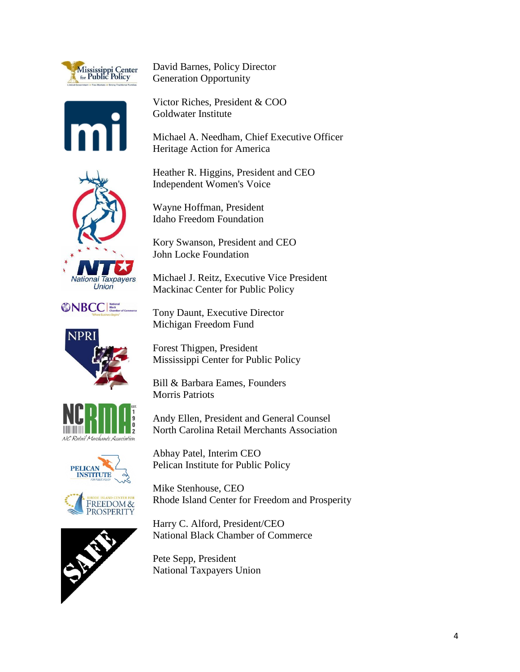

David Barnes, Policy Director Generation Opportunity

Victor Riches, President & COO Goldwater Institute

Michael A. Needham, Chief Executive Officer Heritage Action for America

Heather R. Higgins, President and CEO Independent Women's Voice



Wayne Hoffman, President Idaho Freedom Foundation

Kory Swanson, President and CEO John Locke Foundation

Michael J. Reitz, Executive Vice President Mackinac Center for Public Policy



**NPR** 

Tony Daunt, Executive Director Michiga

Forest<sup>1</sup> Mississippi Center for Public Policy

Bill & Barbara Eames, Founders Morris Patriots

NC Retail Merchants Association







Abhay Patel, Interim CEO Pelican Institute for Public Policy

Andy Ellen, President and General Counsel North Carolina Retail Merchants Association

Mike Stenhouse, CEO Rhode Island Center for Freedom and Prosperity

Harry C. Alford, President/CEO National Black Chamber of Commerce

Pete Sepp, President National Taxpayers Union